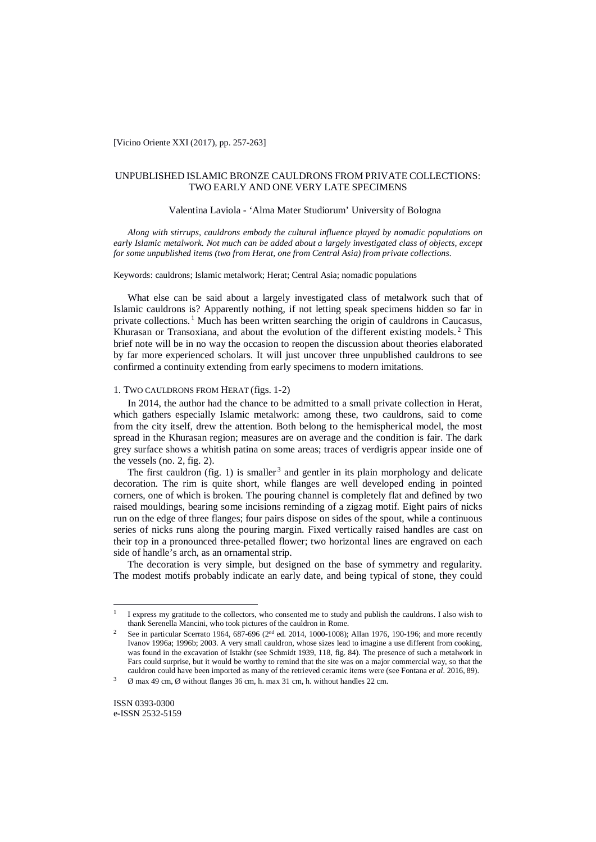# UNPUBLISHED ISLAMIC BRONZE CAULDRONS FROM PRIVATE COLLECTIONS: TWO EARLY AND ONE VERY LATE SPECIMENS

## Valentina Laviola - 'Alma Mater Studiorum' University of Bologna

*Along with stirrups, cauldrons embody the cultural influence played by nomadic populations on early Islamic metalwork. Not much can be added about a largely investigated class of objects, except for some unpublished items (two from Herat, one from Central Asia) from private collections.*

Keywords: cauldrons; Islamic metalwork; Herat; Central Asia; nomadic populations

What else can be said about a largely investigated class of metalwork such that of Islamic cauldrons is? Apparently nothing, if not letting speak specimens hidden so far in private collections. <sup>1</sup> Much has been written searching the origin of cauldrons in Caucasus, Khurasan or Transoxiana, and about the evolution of the different existing models.<sup>2</sup> This brief note will be in no way the occasion to reopen the discussion about theories elaborated by far more experienced scholars. It will just uncover three unpublished cauldrons to see confirmed a continuity extending from early specimens to modern imitations.

#### 1. TWO CAULDRONS FROM HERAT (figs. 1-2)

In 2014, the author had the chance to be admitted to a small private collection in Herat, which gathers especially Islamic metalwork: among these, two cauldrons, said to come from the city itself, drew the attention. Both belong to the hemispherical model, the most spread in the Khurasan region; measures are on average and the condition is fair. The dark grey surface shows a whitish patina on some areas; traces of verdigris appear inside one of the vessels (no. 2, fig. 2).

The first cauldron (fig. 1) is smaller<sup>3</sup> and gentler in its plain morphology and delicate decoration. The rim is quite short, while flanges are well developed ending in pointed corners, one of which is broken. The pouring channel is completely flat and defined by two raised mouldings, bearing some incisions reminding of a zigzag motif. Eight pairs of nicks run on the edge of three flanges; four pairs dispose on sides of the spout, while a continuous series of nicks runs along the pouring margin. Fixed vertically raised handles are cast on their top in a pronounced three-petalled flower; two horizontal lines are engraved on each side of handle's arch, as an ornamental strip.

The decoration is very simple, but designed on the base of symmetry and regularity. The modest motifs probably indicate an early date, and being typical of stone, they could

 $\overline{a}$ 

I express my gratitude to the collectors, who consented me to study and publish the cauldrons. I also wish to thank Serenella Mancini, who took pictures of the cauldron in Rome.

See in particular Scerrato 1964, 687-696 ( $2<sup>nd</sup>$  ed. 2014, 1000-1008); Allan 1976, 190-196; and more recently Ivanov 1996a; 1996b; 2003. A very small cauldron, whose sizes lead to imagine a use different from cooking, was found in the excavation of Istakhr (see Schmidt 1939, 118, fig. 84). The presence of such a metalwork in Fars could surprise, but it would be worthy to remind that the site was on a major commercial way, so that the cauldron could have been imported as many of the retrieved ceramic items were (see Fontana *et al*. 2016, 89).

 $\emptyset$  max 49 cm,  $\emptyset$  without flanges 36 cm, h. max 31 cm, h. without handles 22 cm.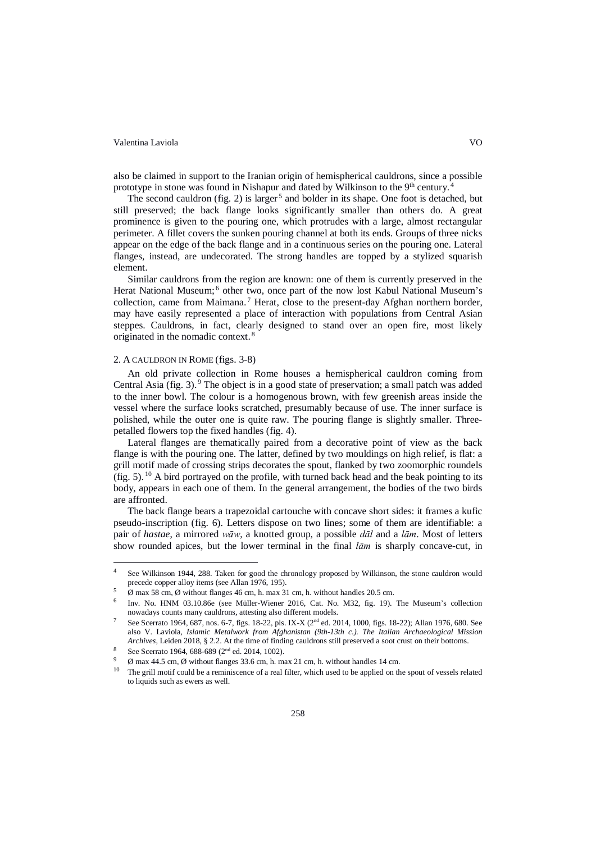#### Valentina Laviola VO

also be claimed in support to the Iranian origin of hemispherical cauldrons, since a possible prototype in stone was found in Nishapur and dated by Wilkinson to the  $9<sup>th</sup>$  century.

The second cauldron (fig. 2) is larger<sup>5</sup> and bolder in its shape. One foot is detached, but still preserved; the back flange looks significantly smaller than others do. A great prominence is given to the pouring one, which protrudes with a large, almost rectangular perimeter. A fillet covers the sunken pouring channel at both its ends. Groups of three nicks appear on the edge of the back flange and in a continuous series on the pouring one. Lateral flanges, instead, are undecorated. The strong handles are topped by a stylized squarish element.

Similar cauldrons from the region are known: one of them is currently preserved in the Herat National Museum; <sup>6</sup> other two, once part of the now lost Kabul National Museum's collection, came from Maimana.<sup>7</sup> Herat, close to the present-day Afghan northern border, may have easily represented a place of interaction with populations from Central Asian steppes. Cauldrons, in fact, clearly designed to stand over an open fire, most likely originated in the nomadic context. <sup>8</sup>

#### 2. A CAULDRON IN ROME (figs. 3-8)

An old private collection in Rome houses a hemispherical cauldron coming from Central Asia (fig. 3). <sup>9</sup> The object is in a good state of preservation; a small patch was added to the inner bowl. The colour is a homogenous brown, with few greenish areas inside the vessel where the surface looks scratched, presumably because of use. The inner surface is polished, while the outer one is quite raw. The pouring flange is slightly smaller. Threepetalled flowers top the fixed handles (fig. 4).

Lateral flanges are thematically paired from a decorative point of view as the back flange is with the pouring one. The latter, defined by two mouldings on high relief, is flat: a grill motif made of crossing strips decorates the spout, flanked by two zoomorphic roundels (fig. 5). <sup>10</sup> A bird portrayed on the profile, with turned back head and the beak pointing to its body, appears in each one of them. In the general arrangement, the bodies of the two birds are affronted.

The back flange bears a trapezoidal cartouche with concave short sides: it frames a kufic pseudo-inscription (fig. 6). Letters dispose on two lines; some of them are identifiable: a pair of *hastae*, a mirrored *wāw*, a knotted group, a possible *dāl* and a *lām*. Most of letters show rounded apices, but the lower terminal in the final *lām* is sharply concave-cut, in

 $\overline{a}$ 

<sup>&</sup>lt;sup>4</sup> See Wilkinson 1944, 288. Taken for good the chronology proposed by Wilkinson, the stone cauldron would precede copper alloy items (see Allan 1976, 195).  $\emptyset$  max 58 cm,  $\emptyset$  without flanges 46 cm, h. max 31 cm, h. without handles 20.5 cm.

<sup>6</sup> Inv. No. HNM 03.10.86e (see Müller-Wiener 2016, Cat. No. M32, fig. 19). The Museum's collection

See Scerrato 1964, 687, nos. 6-7, figs. 18-22, pls. IX-X (2<sup>nd</sup> ed. 2014, 1000, figs. 18-22); Allan 1976, 680. See also V. Laviola, *Islamic Metalwork from Afghanistan (9th-13th c.). The Italian Archaeological Mission Archives*, Leiden 2018, § 2.2. At the time of finding cauldrons still preserved a soot crust on their bottoms. See Scerrato 1964, 688-689 (2<sup>nd</sup> ed. 2014, 1002).

 $\frac{9}{10}$   $\alpha$  max 44.5 cm,  $\beta$  without flanges 33.6 cm, h. max 21 cm, h. without handles 14 cm.<br><sup>10</sup> The grill motif could be a reminiscence of a real filter, which used to be applied on the spout of vessels related to liquids such as ewers as well.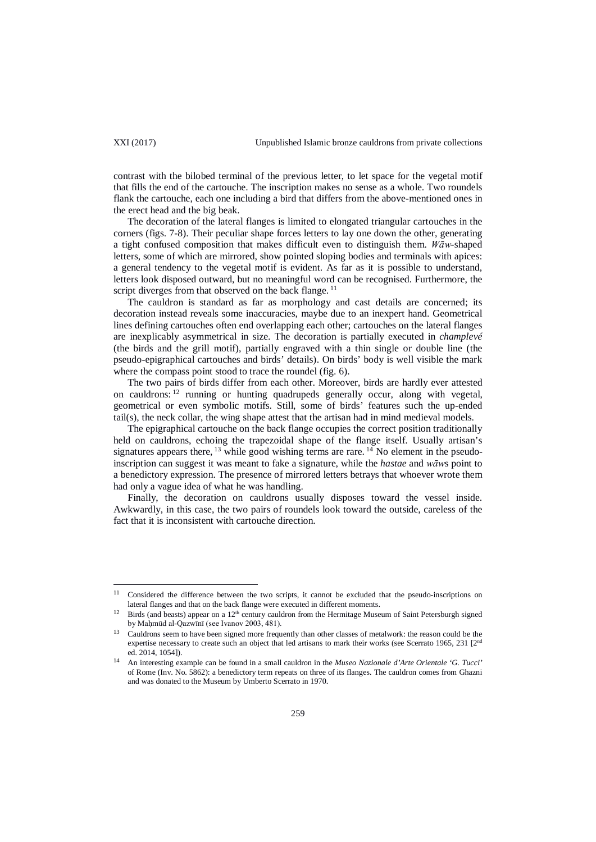$\overline{a}$ 

contrast with the bilobed terminal of the previous letter, to let space for the vegetal motif that fills the end of the cartouche. The inscription makes no sense as a whole. Two roundels flank the cartouche, each one including a bird that differs from the above-mentioned ones in the erect head and the big beak.

The decoration of the lateral flanges is limited to elongated triangular cartouches in the corners (figs. 7-8). Their peculiar shape forces letters to lay one down the other, generating a tight confused composition that makes difficult even to distinguish them. *Wāw*-shaped letters, some of which are mirrored, show pointed sloping bodies and terminals with apices: a general tendency to the vegetal motif is evident. As far as it is possible to understand, letters look disposed outward, but no meaningful word can be recognised. Furthermore, the script diverges from that observed on the back flange.<sup>11</sup>

The cauldron is standard as far as morphology and cast details are concerned; its decoration instead reveals some inaccuracies, maybe due to an inexpert hand. Geometrical lines defining cartouches often end overlapping each other; cartouches on the lateral flanges are inexplicably asymmetrical in size. The decoration is partially executed in *champlevé* (the birds and the grill motif), partially engraved with a thin single or double line (the pseudo-epigraphical cartouches and birds' details). On birds' body is well visible the mark where the compass point stood to trace the roundel (fig. 6).

The two pairs of birds differ from each other. Moreover, birds are hardly ever attested on cauldrons: <sup>12</sup> running or hunting quadrupeds generally occur, along with vegetal, geometrical or even symbolic motifs. Still, some of birds' features such the up-ended tail(s), the neck collar, the wing shape attest that the artisan had in mind medieval models.

The epigraphical cartouche on the back flange occupies the correct position traditionally held on cauldrons, echoing the trapezoidal shape of the flange itself. Usually artisan's signatures appears there,  $^{13}$  while good wishing terms are rare.  $^{14}$  No element in the pseudoinscription can suggest it was meant to fake a signature, while the *hastae* and *wāw*s point to a benedictory expression. The presence of mirrored letters betrays that whoever wrote them had only a vague idea of what he was handling.

Finally, the decoration on cauldrons usually disposes toward the vessel inside. Awkwardly, in this case, the two pairs of roundels look toward the outside, careless of the fact that it is inconsistent with cartouche direction.

<sup>&</sup>lt;sup>11</sup> Considered the difference between the two scripts, it cannot be excluded that the pseudo-inscriptions on lateral flanges and that on the back flange were executed in different moments.

Birds (and beasts) appear on a 12<sup>th</sup> century cauldron from the Hermitage Museum of Saint Petersburgh signed by Maḥmūd al-Qazwīnī (see Ivanov 2003, 481).

<sup>13</sup> Cauldrons seem to have been signed more frequently than other classes of metalwork: the reason could be the expertise necessary to create such an object that led artisans to mark their works (see Scerrato 1965, 231 [2<sup>nd</sup> ed. 2014, 1054]).

<sup>14</sup> An interesting example can be found in a small cauldron in the *Museo Nazionale d'Arte Orientale 'G. Tucci'* of Rome (Inv. No. 5862): a benedictory term repeats on three of its flanges. The cauldron comes from Ghazni and was donated to the Museum by Umberto Scerrato in 1970.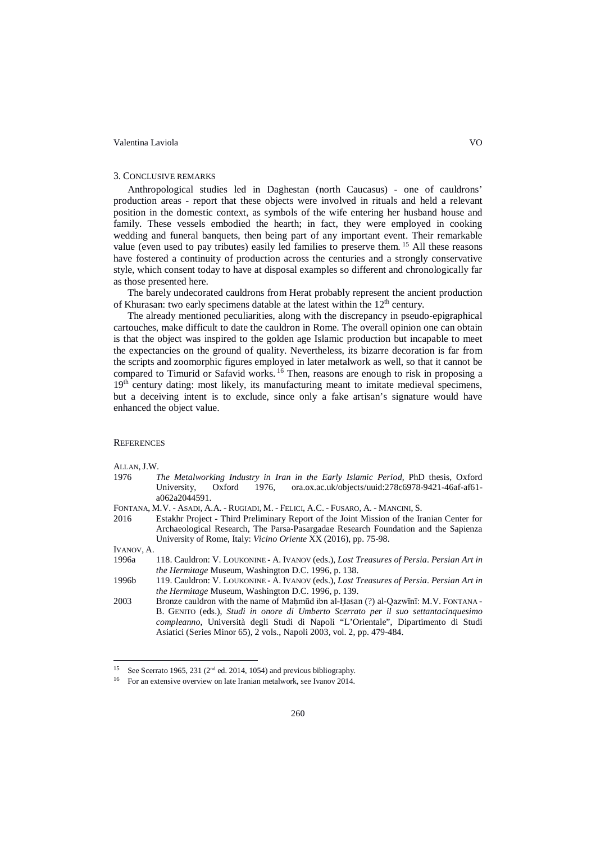#### Valentina Laviola VO

#### 3. CONCLUSIVE REMARKS

Anthropological studies led in Daghestan (north Caucasus) - one of cauldrons' production areas - report that these objects were involved in rituals and held a relevant position in the domestic context, as symbols of the wife entering her husband house and family. These vessels embodied the hearth; in fact, they were employed in cooking wedding and funeral banquets, then being part of any important event. Their remarkable value (even used to pay tributes) easily led families to preserve them. <sup>15</sup> All these reasons have fostered a continuity of production across the centuries and a strongly conservative style, which consent today to have at disposal examples so different and chronologically far as those presented here.

The barely undecorated cauldrons from Herat probably represent the ancient production of Khurasan: two early specimens datable at the latest within the  $12<sup>th</sup>$  century.

The already mentioned peculiarities, along with the discrepancy in pseudo-epigraphical cartouches, make difficult to date the cauldron in Rome. The overall opinion one can obtain is that the object was inspired to the golden age Islamic production but incapable to meet the expectancies on the ground of quality. Nevertheless, its bizarre decoration is far from the scripts and zoomorphic figures employed in later metalwork as well, so that it cannot be compared to Timurid or Safavid works. <sup>16</sup> Then, reasons are enough to risk in proposing a  $19<sup>th</sup>$  century dating: most likely, its manufacturing meant to imitate medieval specimens, but a deceiving intent is to exclude, since only a fake artisan's signature would have enhanced the object value.

## **REFERENCES**

# ALLAN, J.W.<br>1976 7

- 1976 *The Metalworking Industry in Iran in the Early Islamic Period*, PhD thesis, Oxford University, Oxford 1976, [ora.ox.ac.uk/objects/uuid:278c6978-9421-46af-af61](http://ora.ox.ac.uk/objects/uuid:278c6978-9421-46af-af61-a062a2044591) [a062a2044591.](http://ora.ox.ac.uk/objects/uuid:278c6978-9421-46af-af61-a062a2044591)
- FONTANA, M.V. ASADI, A.A. RUGIADI, M. FELICI, A.C. FUSARO, A. MANCINI, S.
- 2016 Estakhr Project Third Preliminary Report of the Joint Mission of the Iranian Center for Archaeological Research, The Parsa-Pasargadae Research Foundation and the Sapienza University of Rome, Italy: *Vicino Oriente* XX (2016), pp. 75-98.

IVANOV, A.

 $\overline{a}$ 

- 1996a 118. Cauldron: V. LOUKONINE A. IVANOV (eds.), *Lost Treasures of Persia*. *Persian Art in the Hermitage* Museum, Washington D.C. 1996, p. 138.
- 1996b 119. Cauldron: V. LOUKONINE A. IVANOV (eds.), *Lost Treasures of Persia*. *Persian Art in the Hermitage* Museum, Washington D.C. 1996, p. 139.
- 2003 Bronze cauldron with the name of Mahmūd ibn al-Ḥasan (?) al-Qazwīnī: M.V. FONTANA -B. GENITO (eds.), *Studi in onore di Umberto Scerrato per il suo settantacinquesimo compleanno*, Università degli Studi di Napoli "L'Orientale", Dipartimento di Studi Asiatici (Series Minor 65), 2 vols., Napoli 2003, vol. 2, pp. 479-484.

<sup>&</sup>lt;sup>15</sup> See Scerrato 1965, 231 ( $2<sup>nd</sup>$  ed. 2014, 1054) and previous bibliography.<br><sup>16</sup> For an extensive overview on late Iranian metalwork, see Ivanov 2014.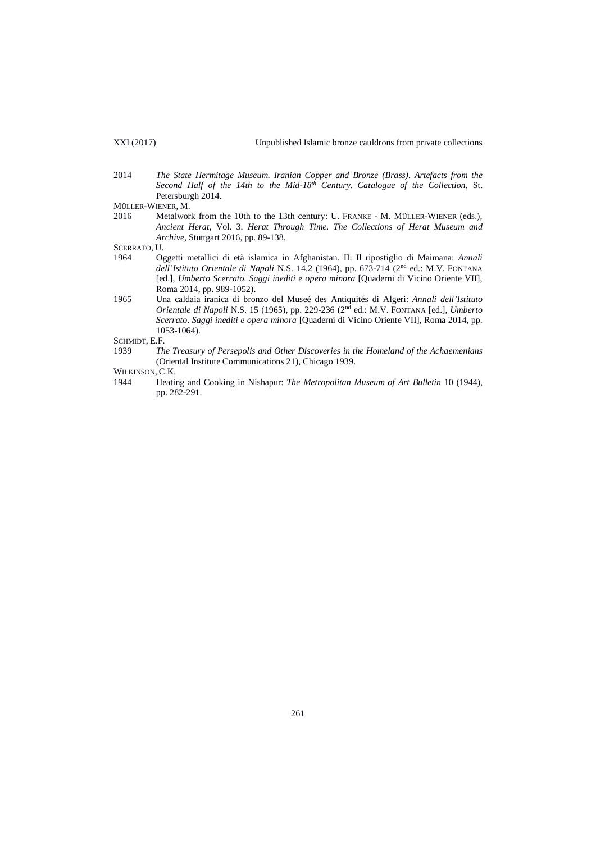2014 *The State Hermitage Museum. Iranian Copper and Bronze (Brass). Artefacts from the Second Half of the 14th to the Mid-18th Century. Catalogue of the Collection*, St. Petersburgh 2014.

MÜLLER-WIENER, M.<br>2016 Metalwor

Metalwork from the 10th to the 13th century: U. FRANKE - M. MÜLLER-WIENER (eds.), *Ancient Herat*, Vol. 3. *Herat Through Time. The Collections of Herat Museum and Archive*, Stuttgart 2016, pp. 89-138.

- SCERRATO, U.<br>1964 Og 1964 Oggetti metallici di età islamica in Afghanistan. II: Il ripostiglio di Maimana: *Annali dell'Istituto Orientale di Napoli* N.S. 14.2 (1964), pp. 673-714 (2nd ed.: M.V. FONTANA [ed.], *Umberto Scerrato. Saggi inediti e opera minora* [Quaderni di Vicino Oriente VII], Roma 2014, pp. 989-1052).
- 1965 Una caldaia iranica di bronzo del Museé des Antiquités di Algeri: *Annali dell'Istituto Orientale di Napoli* N.S. 15 (1965), pp. 229-236 (2nd ed.: M.V. FONTANA [ed.], *Umberto Scerrato. Saggi inediti e opera minora* [Quaderni di Vicino Oriente VII], Roma 2014, pp. 1053-1064).

SCHMIDT, E.F.<br>1939 Th

The Treasury of Persepolis and Other Discoveries in the Homeland of the Achaemenians (Oriental Institute Communications 21), Chicago 1939.

WILKINSON, C.K.

1944 Heating and Cooking in Nishapur: *The Metropolitan Museum of Art Bulletin* 10 (1944), pp. 282-291.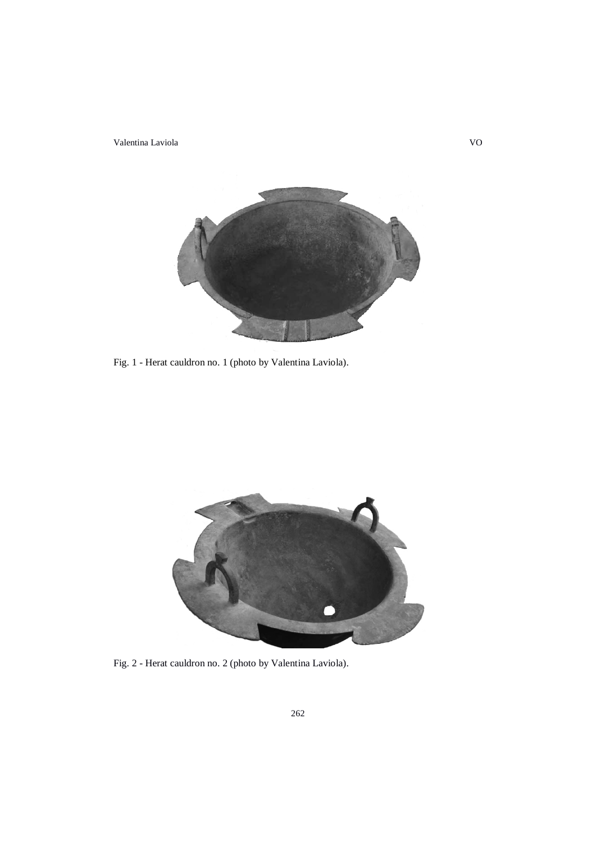Valentina Laviola VO



Fig. 1 - Herat cauldron no. 1 (photo by Valentina Laviola).



Fig. 2 - Herat cauldron no. 2 (photo by Valentina Laviola).